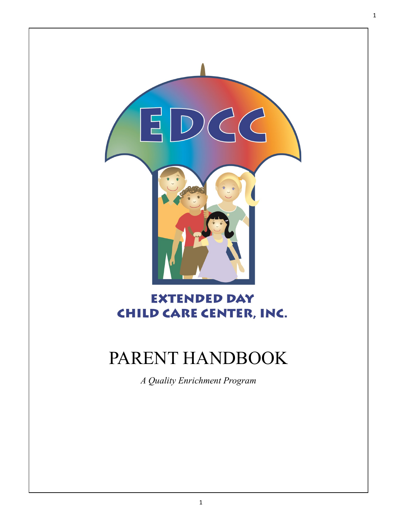

# **EXTENDED DAY CHILD CARE CENTER, INC.**

# PARENT HANDBOOK

*A Quality Enrichment Program*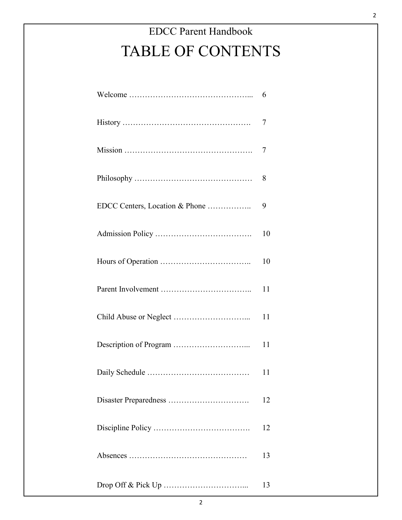|                                | 6  |
|--------------------------------|----|
|                                | 7  |
|                                | 7  |
|                                | 8  |
| EDCC Centers, Location & Phone | 9  |
|                                | 10 |
|                                | 10 |
|                                | 11 |
|                                | 11 |
|                                | 11 |
|                                | 11 |
|                                | 12 |
|                                | 12 |
|                                | 13 |
|                                | 13 |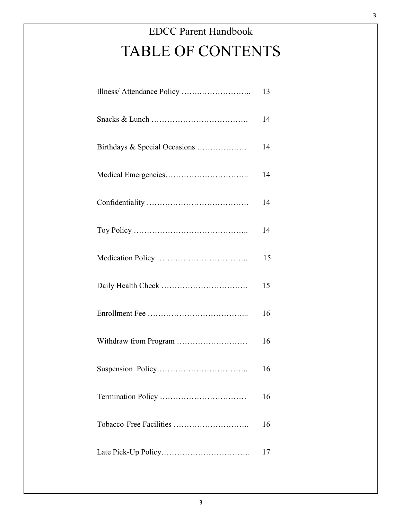|                               | 13 |
|-------------------------------|----|
|                               | 14 |
| Birthdays & Special Occasions | 14 |
|                               | 14 |
|                               | 14 |
|                               | 14 |
|                               | 15 |
|                               | 15 |
|                               | 16 |
| Withdraw from Program         | 16 |
|                               | 16 |
|                               | 16 |
| Tobacco-Free Facilities       | 16 |
|                               | 17 |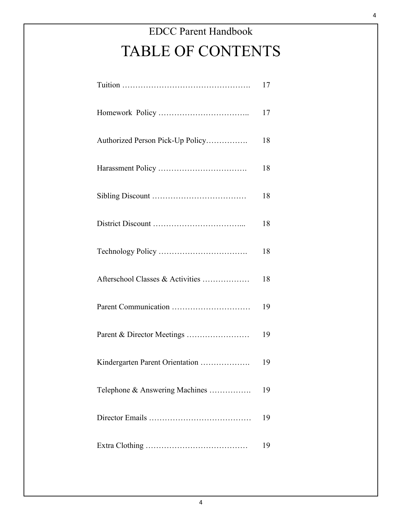|                                  | 17 |
|----------------------------------|----|
|                                  | 17 |
| Authorized Person Pick-Up Policy | 18 |
|                                  | 18 |
|                                  | 18 |
|                                  | 18 |
|                                  | 18 |
| Afterschool Classes & Activities | 18 |
|                                  | 19 |
| Parent & Director Meetings       | 19 |
| Kindergarten Parent Orientation  | 19 |
| Telephone & Answering Machines   | 19 |
|                                  | 19 |
|                                  | 19 |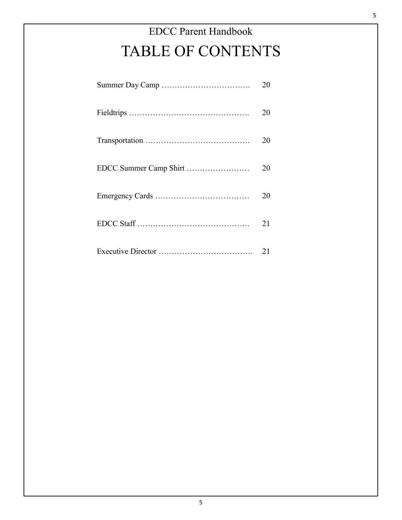| 20 |
|----|
| 20 |
| 20 |
| 20 |
| 20 |
| 21 |
| 21 |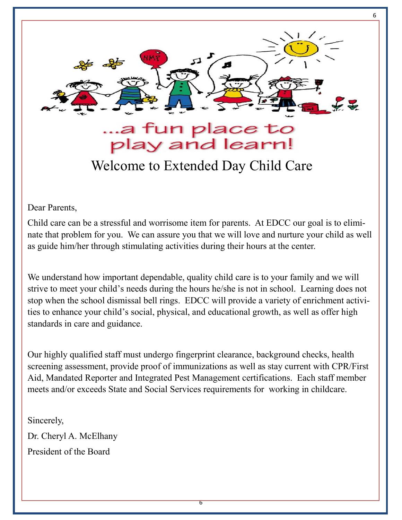

6

Welcome to Extended Day Child Care

Dear Parents,

Child care can be a stressful and worrisome item for parents. At EDCC our goal is to eliminate that problem for you. We can assure you that we will love and nurture your child as well as guide him/her through stimulating activities during their hours at the center.

We understand how important dependable, quality child care is to your family and we will strive to meet your child's needs during the hours he/she is not in school. Learning does not stop when the school dismissal bell rings. EDCC will provide a variety of enrichment activities to enhance your child's social, physical, and educational growth, as well as offer high standards in care and guidance.

Our highly qualified staff must undergo fingerprint clearance, background checks, health screening assessment, provide proof of immunizations as well as stay current with CPR/First Aid, Mandated Reporter and Integrated Pest Management certifications. Each staff member meets and/or exceeds State and Social Services requirements for working in childcare.

Sincerely, Dr. Cheryl A. McElhany President of the Board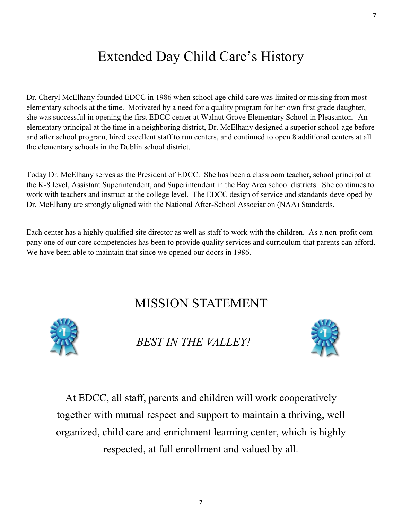# Extended Day Child Care's History

Dr. Cheryl McElhany founded EDCC in 1986 when school age child care was limited or missing from most elementary schools at the time. Motivated by a need for a quality program for her own first grade daughter, she was successful in opening the first EDCC center at Walnut Grove Elementary School in Pleasanton. An elementary principal at the time in a neighboring district, Dr. McElhany designed a superior school-age before and after school program, hired excellent staff to run centers, and continued to open 8 additional centers at all the elementary schools in the Dublin school district.

Today Dr. McElhany serves as the President of EDCC. She has been a classroom teacher, school principal at the K-8 level, Assistant Superintendent, and Superintendent in the Bay Area school districts. She continues to work with teachers and instruct at the college level. The EDCC design of service and standards developed by Dr. McElhany are strongly aligned with the National After-School Association (NAA) Standards.

Each center has a highly qualified site director as well as staff to work with the children. As a non-profit company one of our core competencies has been to provide quality services and curriculum that parents can afford. We have been able to maintain that since we opened our doors in 1986.

# MISSION STATEMENT



*BEST IN THE VALLEY!* 



At EDCC, all staff, parents and children will work cooperatively together with mutual respect and support to maintain a thriving, well organized, child care and enrichment learning center, which is highly respected, at full enrollment and valued by all.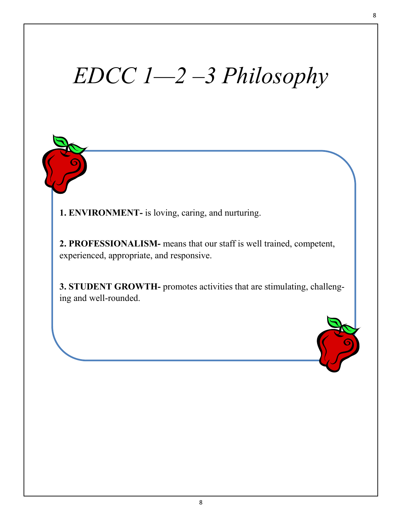# *EDCC 1—2 –3 Philosophy*

**1. ENVIRONMENT-** is loving, caring, and nurturing.

**2. PROFESSIONALISM-** means that our staff is well trained, competent, experienced, appropriate, and responsive.

**3. STUDENT GROWTH-** promotes activities that are stimulating, challenging and well-rounded.

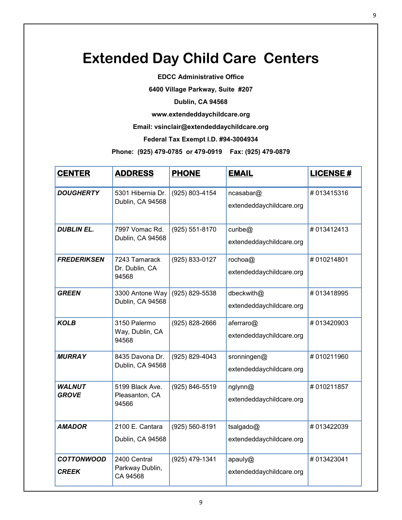# **Extended Day Child Care Centers**

**EDCC Administrative Office** 

**6400 Village Parkway, Suite #207** 

**Dublin, CA 94568** 

**www.extendeddaychildcare.org** 

**Email: vsinclair@extendeddaychildcare.org**

**Federal Tax Exempt I.D. #94-3004934**

**Phone: (925) 479-0785 or 479-0919 Fax: (925) 479-0879**

| <b>CENTER</b>                     | <b>ADDRESS</b>                              | <b>PHONE</b>   | <b>EMAIL</b>                            | <b>LICENSE#</b> |
|-----------------------------------|---------------------------------------------|----------------|-----------------------------------------|-----------------|
| <b>DOUGHERTY</b>                  | 5301 Hibernia Dr.<br>Dublin, CA 94568       | (925) 803-4154 | ncasabar@<br>extendeddaychildcare.org   | #013415316      |
| <b>DUBLIN EL.</b>                 | 7997 Vomac Rd.<br>Dublin, CA 94568          | (925) 551-8170 | curibe $@$<br>extendeddaychildcare.org  | #013412413      |
| <b>FREDERIKSEN</b>                | 7243 Tamarack<br>Dr. Dublin, CA<br>94568    | (925) 833-0127 | rochoa@<br>extendeddaychildcare.org     | #010214801      |
| <b>GREEN</b>                      | 3300 Antone Way<br>Dublin, CA 94568         | (925) 829-5538 | dbeckwith@<br>extendeddaychildcare.org  | #013418995      |
| <b>KOLB</b>                       | 3150 Palermo<br>Way, Dublin, CA<br>94568    | (925) 828-2666 | aferraro@<br>extendeddaychildcare.org   | #013420903      |
| <b>MURRAY</b>                     | 8435 Davona Dr.<br>Dublin, CA 94568         | (925) 829-4043 | sronningen@<br>extendeddaychildcare.org | #010211960      |
| <b>WALNUT</b><br><b>GROVE</b>     | 5199 Black Ave.<br>Pleasanton, CA<br>94566  | (925) 846-5519 | nglynn@<br>extendeddaychildcare.org     | #010211857      |
| <b>AMADOR</b>                     | 2100 E. Cantara<br>Dublin, CA 94568         | (925) 560-8191 | tsalgado@<br>extendeddaychildcare.org   | #013422039      |
| <b>COTTONWOOD</b><br><b>CREEK</b> | 2400 Central<br>Parkway Dublin,<br>CA 94568 | (925) 479-1341 | apauly@<br>extendeddaychildcare.org     | #013423041      |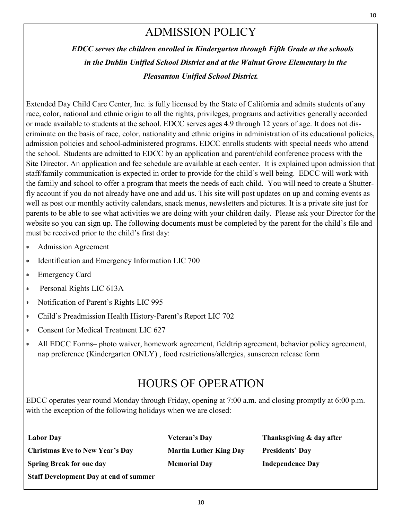#### ADMISSION POLICY

*EDCC serves the children enrolled in Kindergarten through Fifth Grade at the schools in the Dublin Unified School District and at the Walnut Grove Elementary in the Pleasanton Unified School District.* 

Extended Day Child Care Center, Inc. is fully licensed by the State of California and admits students of any race, color, national and ethnic origin to all the rights, privileges, programs and activities generally accorded or made available to students at the school. EDCC serves ages 4.9 through 12 years of age. It does not discriminate on the basis of race, color, nationality and ethnic origins in administration of its educational policies, admission policies and school-administered programs. EDCC enrolls students with special needs who attend the school. Students are admitted to EDCC by an application and parent/child conference process with the Site Director. An application and fee schedule are available at each center. It is explained upon admission that staff/family communication is expected in order to provide for the child's well being. EDCC will work with the family and school to offer a program that meets the needs of each child. You will need to create a Shutterfly account if you do not already have one and add us. This site will post updates on up and coming events as well as post our monthly activity calendars, snack menus, newsletters and pictures. It is a private site just for parents to be able to see what activities we are doing with your children daily. Please ask your Director for the website so you can sign up. The following documents must be completed by the parent for the child's file and must be received prior to the child's first day:

- Admission Agreement
- \* Identification and Emergency Information LIC 700
- Emergency Card
- Personal Rights LIC 613A
- Notification of Parent's Rights LIC 995
- Child's Preadmission Health History-Parent's Report LIC 702
- Consent for Medical Treatment LIC 627
- All EDCC Forms– photo waiver, homework agreement, fieldtrip agreement, behavior policy agreement, nap preference (Kindergarten ONLY) , food restrictions/allergies, sunscreen release form

#### HOURS OF OPERATION

EDCC operates year round Monday through Friday, opening at 7:00 a.m. and closing promptly at 6:00 p.m. with the exception of the following holidays when we are closed:

| <b>Labor Day</b>                              | Veteran's Day                 | Thanksgiving & day after |
|-----------------------------------------------|-------------------------------|--------------------------|
| <b>Christmas Eve to New Year's Day</b>        | <b>Martin Luther King Day</b> | <b>Presidents' Day</b>   |
| <b>Spring Break for one day</b>               | <b>Memorial Day</b>           | <b>Independence Day</b>  |
| <b>Staff Development Day at end of summer</b> |                               |                          |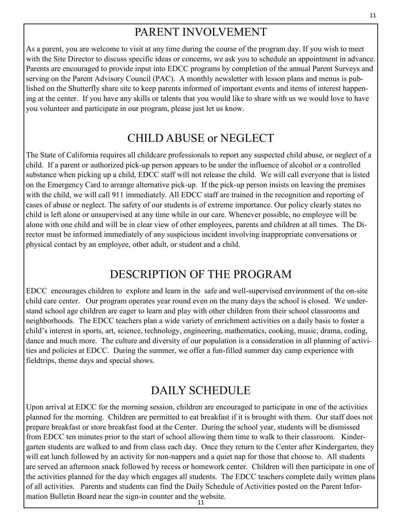## PARENT INVOLVEMENT

As a parent, you are welcome to visit at any time during the course of the program day. If you wish to meet with the Site Director to discuss specific ideas or concerns, we ask you to schedule an appointment in advance. Parents are encouraged to provide input into EDCC programs by completion of the annual Parent Surveys and serving on the Parent Advisory Council (PAC). A monthly newsletter with lesson plans and menus is published on the Shutterfly share site to keep parents informed of important events and items of interest happening at the center. If you have any skills or talents that you would like to share with us we would love to have you volunteer and participate in our program, please just let us know.

#### CHILD ABUSE or NEGLECT

The State of California requires all childcare professionals to report any suspected child abuse, or neglect of a child. If a parent or authorized pick-up person appears to be under the influence of alcohol or a controlled substance when picking up a child, EDCC staff will not release the child. We will call everyone that is listed on the Emergency Card to arrange alternative pick-up. If the pick-up person insists on leaving the premises with the child, we will call 911 immediately. All EDCC staff are trained in the recognition and reporting of cases of abuse or neglect. The safety of our students is of extreme importance. Our policy clearly states no child is left alone or unsupervised at any time while in our care. Whenever possible, no employee will be alone with one child and will be in clear view of other employees, parents and children at all times. The Director must be informed immediately of any suspicious incident involving inappropriate conversations or physical contact by an employee, other adult, or student and a child.

#### DESCRIPTION OF THE PROGRAM

EDCC encourages children to explore and learn in the safe and well-supervised environment of the on-site child care center. Our program operates year round even on the many days the school is closed. We understand school age children are eager to learn and play with other children from their school classrooms and neighborhoods. The EDCC teachers plan a wide variety of enrichment activities on a daily basis to foster a child's interest in sports, art, science, technology, engineering, mathematics, cooking, music, drama, coding, dance and much more. The culture and diversity of our population is a consideration in all planning of activities and policies at EDCC. During the summer, we offer a fun-filled summer day camp experience with fieldtrips, theme days and special shows.

#### DAILY SCHEDULE

Upon arrival at EDCC for the morning session, children are encouraged to participate in one of the activities planned for the morning. Children are permitted to eat breakfast if it is brought with them. Our staff does not prepare breakfast or store breakfast food at the Center. During the school year, students will be dismissed from EDCC ten minutes prior to the start of school allowing them time to walk to their classroom. Kindergarten students are walked to and from class each day. Once they return to the Center after Kindergarten, they will eat lunch followed by an activity for non-nappers and a quiet nap for those that choose to. All students are served an afternoon snack followed by recess or homework center. Children will then participate in one of the activities planned for the day which engages all students. The EDCC teachers complete daily written plans of all activities. Parents and students can find the Daily Schedule of Activities posted on the Parent Information Bulletin Board near the sign-in counter and the website.

<sup>11</sup>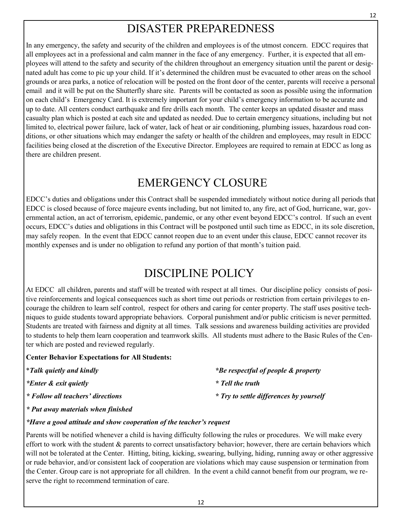#### DISASTER PREPAREDNESS

In any emergency, the safety and security of the children and employees is of the utmost concern. EDCC requires that all employees act in a professional and calm manner in the face of any emergency. Further, it is expected that all employees will attend to the safety and security of the children throughout an emergency situation until the parent or designated adult has come to pic up your child. If it's determined the children must be evacuated to other areas on the school grounds or area parks, a notice of relocation will be posted on the front door of the center, parents will receive a personal email and it will be put on the Shutterfly share site. Parents will be contacted as soon as possible using the information on each child's Emergency Card. It is extremely important for your child's emergency information to be accurate and up to date. All centers conduct earthquake and fire drills each month. The center keeps an updated disaster and mass casualty plan which is posted at each site and updated as needed. Due to certain emergency situations, including but not limited to, electrical power failure, lack of water, lack of heat or air conditioning, plumbing issues, hazardous road conditions, or other situations which may endanger the safety or health of the children and employees, may result in EDCC facilities being closed at the discretion of the Executive Director. Employees are required to remain at EDCC as long as there are children present.

#### EMERGENCY CLOSURE

EDCC's duties and obligations under this Contract shall be suspended immediately without notice during all periods that EDCC is closed because of force majeure events including, but not limited to, any fire, act of God, hurricane, war, governmental action, an act of terrorism, epidemic, pandemic, or any other event beyond EDCC's control. If such an event occurs, EDCC's duties and obligations in this Contract will be postponed until such time as EDCC, in its sole discretion, may safely reopen. In the event that EDCC cannot reopen due to an event under this clause, EDCC cannot recover its monthly expenses and is under no obligation to refund any portion of that month's tuition paid.

# DISCIPLINE POLICY

At EDCC all children, parents and staff will be treated with respect at all times. Our discipline policy consists of positive reinforcements and logical consequences such as short time out periods or restriction from certain privileges to encourage the children to learn self control, respect for others and caring for center property. The staff uses positive techniques to guide students toward appropriate behaviors. Corporal punishment and/or public criticism is never permitted. Students are treated with fairness and dignity at all times. Talk sessions and awareness building activities are provided to students to help them learn cooperation and teamwork skills. All students must adhere to the Basic Rules of the Center which are posted and reviewed regularly.

#### **Center Behavior Expectations for All Students:**

| <i>*Talk quietly and kindly</i>   | *Be respectful of people & property     |
|-----------------------------------|-----------------------------------------|
| *Enter & exit quietly             | * Tell the truth                        |
| * Follow all teachers' directions | * Try to settle differences by yourself |

*\* Put away materials when finished* 

#### *\*Have a good attitude and show cooperation of the teacher's request*

Parents will be notified whenever a child is having difficulty following the rules or procedures. We will make every effort to work with the student  $\&$  parents to correct unsatisfactory behavior; however, there are certain behaviors which will not be tolerated at the Center. Hitting, biting, kicking, swearing, bullying, hiding, running away or other aggressive or rude behavior, and/or consistent lack of cooperation are violations which may cause suspension or termination from the Center. Group care is not appropriate for all children. In the event a child cannot benefit from our program, we reserve the right to recommend termination of care.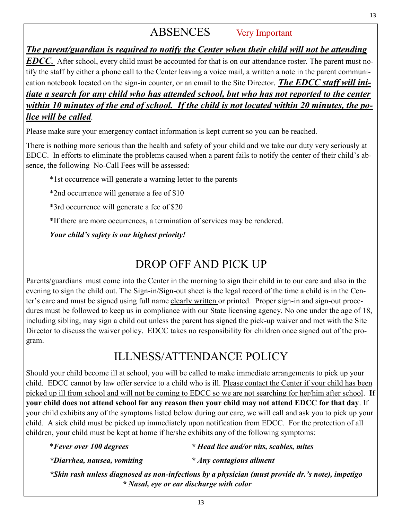## ABSENCES Very Important

*The parent/guardian is required to notify the Center when their child will not be attending EDCC***.** After school, every child must be accounted for that is on our attendance roster. The parent must notify the staff by either a phone call to the Center leaving a voice mail, a written a note in the parent communication notebook located on the sign-in counter, or an email to the Site Director. *The EDCC staff will initiate a search for any child who has attended school, but who has not reported to the center within 10 minutes of the end of school. If the child is not located within 20 minutes, the police will be called.* 

Please make sure your emergency contact information is kept current so you can be reached.

There is nothing more serious than the health and safety of your child and we take our duty very seriously at EDCC. In efforts to eliminate the problems caused when a parent fails to notify the center of their child's absence, the following No-Call Fees will be assessed:

\*1st occurrence will generate a warning letter to the parents

\*2nd occurrence will generate a fee of \$10

\*3rd occurrence will generate a fee of \$20

\*If there are more occurrences, a termination of services may be rendered.

*Your child's safety is our highest priority!*

## DROP OFF AND PICK UP

Parents/guardians must come into the Center in the morning to sign their child in to our care and also in the evening to sign the child out. The Sign-in/Sign-out sheet is the legal record of the time a child is in the Center's care and must be signed using full name clearly written or printed. Proper sign-in and sign-out procedures must be followed to keep us in compliance with our State licensing agency. No one under the age of 18, including sibling, may sign a child out unless the parent has signed the pick-up waiver and met with the Site Director to discuss the waiver policy. EDCC takes no responsibility for children once signed out of the program.

#### ILLNESS/ATTENDANCE POLICY

Should your child become ill at school, you will be called to make immediate arrangements to pick up your child. EDCC cannot by law offer service to a child who is ill. Please contact the Center if your child has been picked up ill from school and will not be coming to EDCC so we are not searching for her/him after school. **If your child does not attend school for any reason then your child may not attend EDCC for that day**. If your child exhibits any of the symptoms listed below during our care, we will call and ask you to pick up your child. A sick child must be picked up immediately upon notification from EDCC. For the protection of all children, your child must be kept at home if he/she exhibits any of the following symptoms:

\**Fever over 100 degrees \* Head lice and/or nits, scabies, mites* 

 *\*Diarrhea, nausea, vomiting \* Any contagious ailment*

 *\*Skin rash unless diagnosed as non-infectious by a physician (must provide dr.'s note), impetigo \* Nasal, eye or ear discharge with color*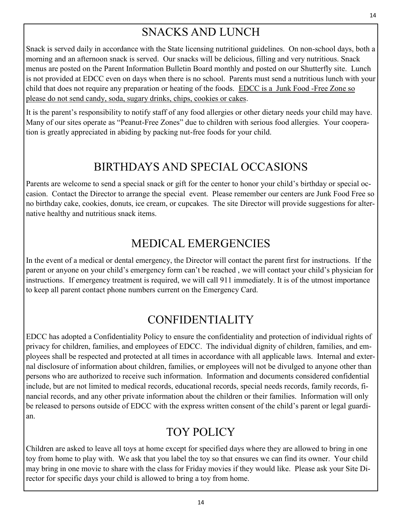# SNACKS AND LUNCH

Snack is served daily in accordance with the State licensing nutritional guidelines. On non-school days, both a morning and an afternoon snack is served. Our snacks will be delicious, filling and very nutritious. Snack menus are posted on the Parent Information Bulletin Board monthly and posted on our Shutterfly site. Lunch is not provided at EDCC even on days when there is no school. Parents must send a nutritious lunch with your child that does not require any preparation or heating of the foods. EDCC is a Junk Food -Free Zone so please do not send candy, soda, sugary drinks, chips, cookies or cakes.

It is the parent's responsibility to notify staff of any food allergies or other dietary needs your child may have. Many of our sites operate as "Peanut-Free Zones" due to children with serious food allergies. Your cooperation is greatly appreciated in abiding by packing nut-free foods for your child.

## BIRTHDAYS AND SPECIAL OCCASIONS

Parents are welcome to send a special snack or gift for the center to honor your child's birthday or special occasion. Contact the Director to arrange the special event. Please remember our centers are Junk Food Free so no birthday cake, cookies, donuts, ice cream, or cupcakes. The site Director will provide suggestions for alternative healthy and nutritious snack items.

#### MEDICAL EMERGENCIES

In the event of a medical or dental emergency, the Director will contact the parent first for instructions. If the parent or anyone on your child's emergency form can't be reached , we will contact your child's physician for instructions. If emergency treatment is required, we will call 911 immediately. It is of the utmost importance to keep all parent contact phone numbers current on the Emergency Card.

# CONFIDENTIALITY

EDCC has adopted a Confidentiality Policy to ensure the confidentiality and protection of individual rights of privacy for children, families, and employees of EDCC. The individual dignity of children, families, and employees shall be respected and protected at all times in accordance with all applicable laws. Internal and external disclosure of information about children, families, or employees will not be divulged to anyone other than persons who are authorized to receive such information. Information and documents considered confidential include, but are not limited to medical records, educational records, special needs records, family records, financial records, and any other private information about the children or their families. Information will only be released to persons outside of EDCC with the express written consent of the child's parent or legal guardian.

# TOY POLICY

Children are asked to leave all toys at home except for specified days where they are allowed to bring in one toy from home to play with. We ask that you label the toy so that ensures we can find its owner. Your child may bring in one movie to share with the class for Friday movies if they would like. Please ask your Site Director for specific days your child is allowed to bring a toy from home.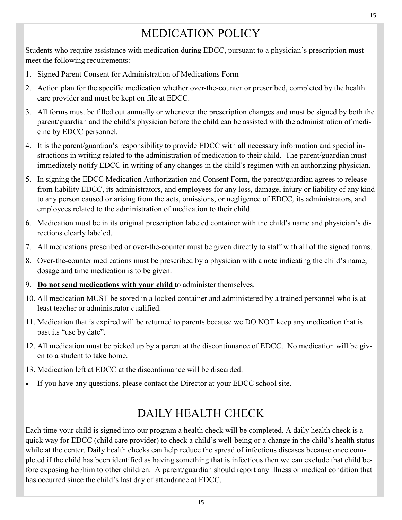# MEDICATION POLICY

Students who require assistance with medication during EDCC, pursuant to a physician's prescription must meet the following requirements:

- 1. Signed Parent Consent for Administration of Medications Form
- 2. Action plan for the specific medication whether over-the-counter or prescribed, completed by the health care provider and must be kept on file at EDCC.
- 3. All forms must be filled out annually or whenever the prescription changes and must be signed by both the parent/guardian and the child's physician before the child can be assisted with the administration of medicine by EDCC personnel.
- 4. It is the parent/guardian's responsibility to provide EDCC with all necessary information and special instructions in writing related to the administration of medication to their child. The parent/guardian must immediately notify EDCC in writing of any changes in the child's regimen with an authorizing physician.
- 5. In signing the EDCC Medication Authorization and Consent Form, the parent/guardian agrees to release from liability EDCC, its administrators, and employees for any loss, damage, injury or liability of any kind to any person caused or arising from the acts, omissions, or negligence of EDCC, its administrators, and employees related to the administration of medication to their child.
- 6. Medication must be in its original prescription labeled container with the child's name and physician's directions clearly labeled.
- 7. All medications prescribed or over-the-counter must be given directly to staff with all of the signed forms.
- 8. Over-the-counter medications must be prescribed by a physician with a note indicating the child's name, dosage and time medication is to be given.
- 9. **Do not send medications with your child** to administer themselves.
- 10. All medication MUST be stored in a locked container and administered by a trained personnel who is at least teacher or administrator qualified.
- 11. Medication that is expired will be returned to parents because we DO NOT keep any medication that is past its "use by date".
- 12. All medication must be picked up by a parent at the discontinuance of EDCC. No medication will be given to a student to take home.
- 13. Medication left at EDCC at the discontinuance will be discarded.
- If you have any questions, please contact the Director at your EDCC school site.

#### DAILY HEALTH CHECK

Each time your child is signed into our program a health check will be completed. A daily health check is a quick way for EDCC (child care provider) to check a child's well-being or a change in the child's health status while at the center. Daily health checks can help reduce the spread of infectious diseases because once completed if the child has been identified as having something that is infectious then we can exclude that child before exposing her/him to other children. A parent/guardian should report any illness or medical condition that has occurred since the child's last day of attendance at EDCC.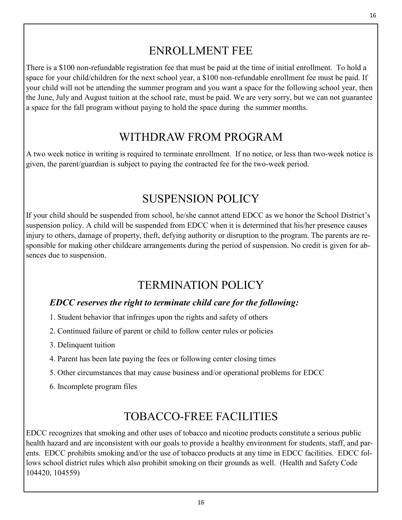#### ENROLLMENT FEE

There is a \$100 non-refundable registration fee that must be paid at the time of initial enrollment. To hold a space for your child/children for the next school year, a \$100 non-refundable enrollment fee must be paid. If your child will not be attending the summer program and you want a space for the following school year, then the June, July and August tuition at the school rate, must be paid. We are very sorry, but we can not guarantee a space for the fall program without paying to hold the space during the summer months.

#### WITHDRAW FROM PROGRAM

A two week notice in writing is required to terminate enrollment. If no notice, or less than two-week notice is given, the parent/guardian is subject to paying the contracted fee for the two-week period.

#### SUSPENSION POLICY

If your child should be suspended from school, he/she cannot attend EDCC as we honor the School District's suspension policy. A child will be suspended from EDCC when it is determined that his/her presence causes injury to others, damage of property, theft, defying authority or disruption to the program. The parents are responsible for making other childcare arrangements during the period of suspension. No credit is given for absences due to suspension.

#### TERMINATION POLICY

#### *EDCC reserves the right to terminate child care for the following:*

- 1. Student behavior that infringes upon the rights and safety of others
- 2. Continued failure of parent or child to follow center rules or policies
- 3. Delinquent tuition
- 4. Parent has been late paying the fees or following center closing times
- 5. Other circumstances that may cause business and/or operational problems for EDCC
- 6. Incomplete program files

# TOBACCO-FREE FACILITIES

EDCC recognizes that smoking and other uses of tobacco and nicotine products constitute a serious public health hazard and are inconsistent with our goals to provide a healthy environment for students, staff, and parents. EDCC prohibits smoking and/or the use of tobacco products at any time in EDCC facilities. EDCC follows school district rules which also prohibit smoking on their grounds as well. (Health and Safety Code 104420, 104559)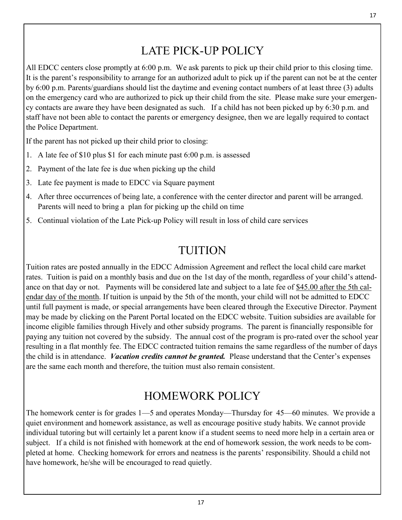#### LATE PICK-UP POLICY

All EDCC centers close promptly at 6:00 p.m. We ask parents to pick up their child prior to this closing time. It is the parent's responsibility to arrange for an authorized adult to pick up if the parent can not be at the center by 6:00 p.m. Parents/guardians should list the daytime and evening contact numbers of at least three (3) adults on the emergency card who are authorized to pick up their child from the site. Please make sure your emergency contacts are aware they have been designated as such. If a child has not been picked up by 6:30 p.m. and staff have not been able to contact the parents or emergency designee, then we are legally required to contact the Police Department.

If the parent has not picked up their child prior to closing:

- 1. A late fee of \$10 plus \$1 for each minute past 6:00 p.m. is assessed
- 2. Payment of the late fee is due when picking up the child
- 3. Late fee payment is made to EDCC via Square payment
- 4. After three occurrences of being late, a conference with the center director and parent will be arranged. Parents will need to bring a plan for picking up the child on time
- 5. Continual violation of the Late Pick-up Policy will result in loss of child care services

#### TUITION

Tuition rates are posted annually in the EDCC Admission Agreement and reflect the local child care market rates. Tuition is paid on a monthly basis and due on the 1st day of the month, regardless of your child's attendance on that day or not. Payments will be considered late and subject to a late fee of \$45.00 after the 5th calendar day of the month. If tuition is unpaid by the 5th of the month, your child will not be admitted to EDCC until full payment is made, or special arrangements have been cleared through the Executive Director. Payment may be made by clicking on the Parent Portal located on the EDCC website. Tuition subsidies are available for income eligible families through Hively and other subsidy programs. The parent is financially responsible for paying any tuition not covered by the subsidy. The annual cost of the program is pro-rated over the school year resulting in a flat monthly fee. The EDCC contracted tuition remains the same regardless of the number of days the child is in attendance. *Vacation credits cannot be granted.* Please understand that the Center's expenses are the same each month and therefore, the tuition must also remain consistent.

#### HOMEWORK POLICY

The homework center is for grades 1—5 and operates Monday—Thursday for 45—60 minutes. We provide a quiet environment and homework assistance, as well as encourage positive study habits. We cannot provide individual tutoring but will certainly let a parent know if a student seems to need more help in a certain area or subject. If a child is not finished with homework at the end of homework session, the work needs to be completed at home. Checking homework for errors and neatness is the parents' responsibility. Should a child not have homework, he/she will be encouraged to read quietly.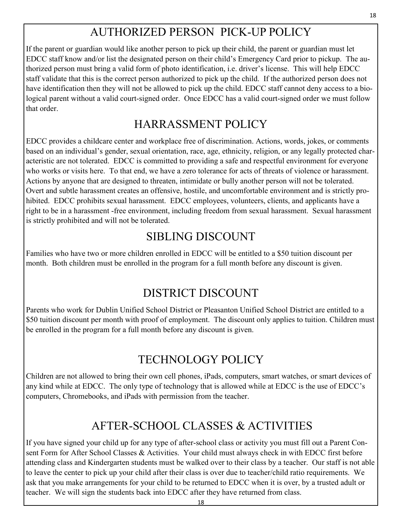# AUTHORIZED PERSON PICK-UP POLICY

If the parent or guardian would like another person to pick up their child, the parent or guardian must let EDCC staff know and/or list the designated person on their child's Emergency Card prior to pickup. The authorized person must bring a valid form of photo identification, i.e. driver's license. This will help EDCC staff validate that this is the correct person authorized to pick up the child. If the authorized person does not have identification then they will not be allowed to pick up the child. EDCC staff cannot deny access to a biological parent without a valid court-signed order. Once EDCC has a valid court-signed order we must follow that order.

## HARRASSMENT POLICY

EDCC provides a childcare center and workplace free of discrimination. Actions, words, jokes, or comments based on an individual's gender, sexual orientation, race, age, ethnicity, religion, or any legally protected characteristic are not tolerated. EDCC is committed to providing a safe and respectful environment for everyone who works or visits here. To that end, we have a zero tolerance for acts of threats of violence or harassment. Actions by anyone that are designed to threaten, intimidate or bully another person will not be tolerated. Overt and subtle harassment creates an offensive, hostile, and uncomfortable environment and is strictly prohibited. EDCC prohibits sexual harassment. EDCC employees, volunteers, clients, and applicants have a right to be in a harassment -free environment, including freedom from sexual harassment. Sexual harassment is strictly prohibited and will not be tolerated.

# SIBLING DISCOUNT

Families who have two or more children enrolled in EDCC will be entitled to a \$50 tuition discount per month. Both children must be enrolled in the program for a full month before any discount is given.

# DISTRICT DISCOUNT

Parents who work for Dublin Unified School District or Pleasanton Unified School District are entitled to a \$50 tuition discount per month with proof of employment. The discount only applies to tuition. Children must be enrolled in the program for a full month before any discount is given.

# TECHNOLOGY POLICY

Children are not allowed to bring their own cell phones, iPads, computers, smart watches, or smart devices of any kind while at EDCC. The only type of technology that is allowed while at EDCC is the use of EDCC's computers, Chromebooks, and iPads with permission from the teacher.

# AFTER-SCHOOL CLASSES & ACTIVITIES

If you have signed your child up for any type of after-school class or activity you must fill out a Parent Consent Form for After School Classes & Activities. Your child must always check in with EDCC first before attending class and Kindergarten students must be walked over to their class by a teacher. Our staff is not able to leave the center to pick up your child after their class is over due to teacher/child ratio requirements. We ask that you make arrangements for your child to be returned to EDCC when it is over, by a trusted adult or teacher. We will sign the students back into EDCC after they have returned from class.

18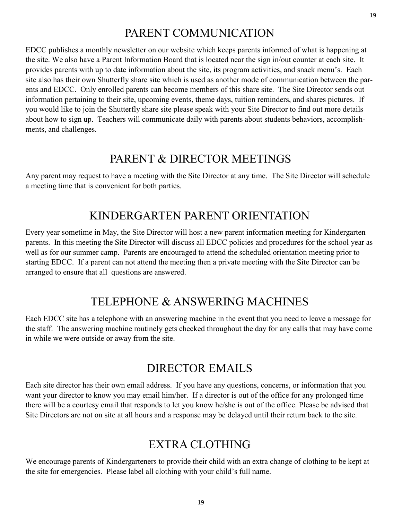#### PARENT COMMUNICATION

EDCC publishes a monthly newsletter on our website which keeps parents informed of what is happening at the site. We also have a Parent Information Board that is located near the sign in/out counter at each site. It provides parents with up to date information about the site, its program activities, and snack menu's. Each site also has their own Shutterfly share site which is used as another mode of communication between the parents and EDCC. Only enrolled parents can become members of this share site. The Site Director sends out information pertaining to their site, upcoming events, theme days, tuition reminders, and shares pictures. If you would like to join the Shutterfly share site please speak with your Site Director to find out more details about how to sign up. Teachers will communicate daily with parents about students behaviors, accomplishments, and challenges.

#### PARENT & DIRECTOR MEETINGS

Any parent may request to have a meeting with the Site Director at any time. The Site Director will schedule a meeting time that is convenient for both parties.

#### KINDERGARTEN PARENT ORIENTATION

Every year sometime in May, the Site Director will host a new parent information meeting for Kindergarten parents. In this meeting the Site Director will discuss all EDCC policies and procedures for the school year as well as for our summer camp. Parents are encouraged to attend the scheduled orientation meeting prior to starting EDCC. If a parent can not attend the meeting then a private meeting with the Site Director can be arranged to ensure that all questions are answered.

#### TELEPHONE & ANSWERING MACHINES

Each EDCC site has a telephone with an answering machine in the event that you need to leave a message for the staff. The answering machine routinely gets checked throughout the day for any calls that may have come in while we were outside or away from the site.

#### DIRECTOR EMAILS

Each site director has their own email address. If you have any questions, concerns, or information that you want your director to know you may email him/her. If a director is out of the office for any prolonged time there will be a courtesy email that responds to let you know he/she is out of the office. Please be advised that Site Directors are not on site at all hours and a response may be delayed until their return back to the site.

#### EXTRA CLOTHING

We encourage parents of Kindergarteners to provide their child with an extra change of clothing to be kept at the site for emergencies. Please label all clothing with your child's full name.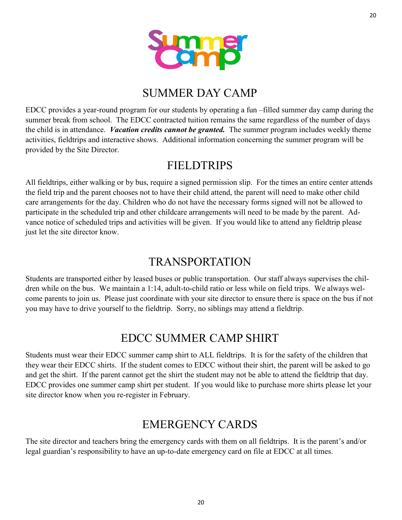

20



#### SUMMER DAY CAMP

EDCC provides a year-round program for our students by operating a fun –filled summer day camp during the summer break from school. The EDCC contracted tuition remains the same regardless of the number of days the child is in attendance. *Vacation credits cannot be granted.* The summer program includes weekly theme activities, fieldtrips and interactive shows. Additional information concerning the summer program will be provided by the Site Director.

#### FIELDTRIPS

All fieldtrips, either walking or by bus, require a signed permission slip. For the times an entire center attends the field trip and the parent chooses not to have their child attend, the parent will need to make other child care arrangements for the day. Children who do not have the necessary forms signed will not be allowed to participate in the scheduled trip and other childcare arrangements will need to be made by the parent. Advance notice of scheduled trips and activities will be given. If you would like to attend any fieldtrip please just let the site director know.

#### TRANSPORTATION

Students are transported either by leased buses or public transportation. Our staff always supervises the children while on the bus. We maintain a 1:14, adult-to-child ratio or less while on field trips. We always welcome parents to join us. Please just coordinate with your site director to ensure there is space on the bus if not you may have to drive yourself to the fieldtrip. Sorry, no siblings may attend a fieldtrip.

## EDCC SUMMER CAMP SHIRT

Students must wear their EDCC summer camp shirt to ALL fieldtrips. It is for the safety of the children that they wear their EDCC shirts. If the student comes to EDCC without their shirt, the parent will be asked to go and get the shirt. If the parent cannot get the shirt the student may not be able to attend the fieldtrip that day. EDCC provides one summer camp shirt per student. If you would like to purchase more shirts please let your site director know when you re-register in February.

# EMERGENCY CARDS

The site director and teachers bring the emergency cards with them on all fieldtrips. It is the parent's and/or legal guardian's responsibility to have an up-to-date emergency card on file at EDCC at all times.